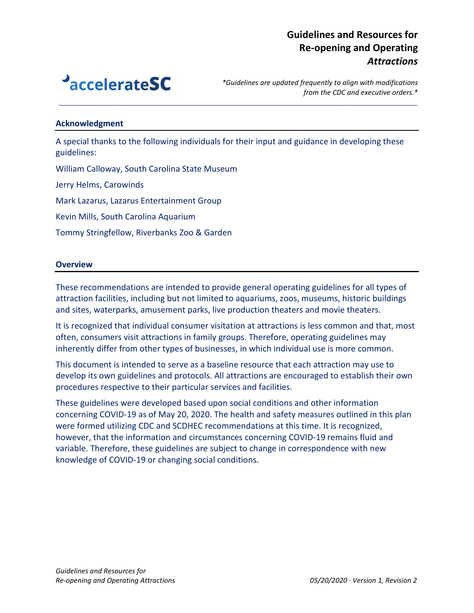

*\*Guidelines are updated frequently to align with modifications from the CDC and executive orders.\**

#### **Acknowledgment**

A special thanks to the following individuals for their input and guidance in developing these guidelines:

*\_\_\_\_\_\_\_\_\_\_\_\_\_\_\_\_\_\_\_\_\_\_\_\_\_\_\_\_\_\_\_\_\_\_\_\_\_\_\_\_\_\_\_\_\_\_\_\_\_\_\_\_\_\_\_\_\_\_\_\_\_\_\_\_\_\_\_\_\_\_\_\_\_\_\_\_\_\_\_\_\_\_\_\_\_\_\_\_\_\_\_\_\_*

William Calloway, South Carolina State Museum

Jerry Helms, Carowinds

Mark Lazarus, Lazarus Entertainment Group

Kevin Mills, South Carolina Aquarium

Tommy Stringfellow, Riverbanks Zoo & Garden

#### **Overview**

These recommendations are intended to provide general operating guidelines for all types of attraction facilities, including but not limited to aquariums, zoos, museums, historic buildings and sites, waterparks, amusement parks, live production theaters and movie theaters.

It is recognized that individual consumer visitation at attractions is less common and that, most often, consumers visit attractions in family groups. Therefore, operating guidelines may inherently differ from other types of businesses, in which individual use is more common.

This document is intended to serve as a baseline resource that each attraction may use to develop its own guidelines and protocols. All attractions are encouraged to establish their own procedures respective to their particular services and facilities.

These guidelines were developed based upon social conditions and other information concerning COVID-19 as of May 20, 2020. The health and safety measures outlined in this plan were formed utilizing CDC and SCDHEC recommendations at this time. It is recognized, however, that the information and circumstances concerning COVID-19 remains fluid and variable. Therefore, these guidelines are subject to change in correspondence with new knowledge of COVID-19 or changing social conditions.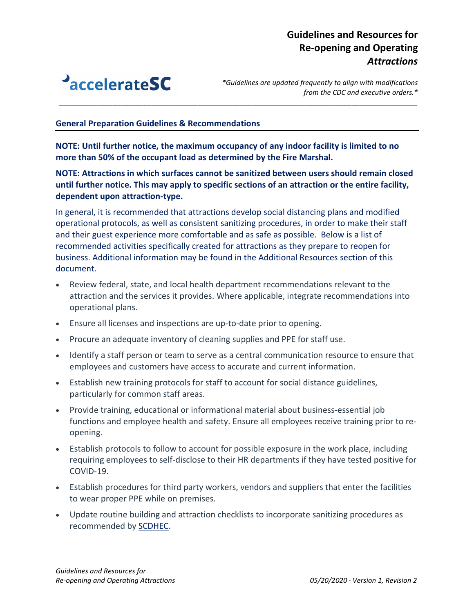

*\*Guidelines are updated frequently to align with modifications from the CDC and executive orders.\**

### **General Preparation Guidelines & Recommendations**

**NOTE: Until further notice, the maximum occupancy of any indoor facility is limited to no more than 50% of the occupant load as determined by the Fire Marshal.** 

**NOTE: Attractions in which surfaces cannot be sanitized between users should remain closed until further notice. This may apply to specific sections of an attraction or the entire facility, dependent upon attraction-type.** 

*\_\_\_\_\_\_\_\_\_\_\_\_\_\_\_\_\_\_\_\_\_\_\_\_\_\_\_\_\_\_\_\_\_\_\_\_\_\_\_\_\_\_\_\_\_\_\_\_\_\_\_\_\_\_\_\_\_\_\_\_\_\_\_\_\_\_\_\_\_\_\_\_\_\_\_\_\_\_\_\_\_\_\_\_\_\_\_\_\_\_\_\_\_*

In general, it is recommended that attractions develop social distancing plans and modified operational protocols, as well as consistent sanitizing procedures, in order to make their staff and their guest experience more comfortable and as safe as possible. Below is a list of recommended activities specifically created for attractions as they prepare to reopen for business. Additional information may be found in the Additional Resources section of this document.

- Review federal, state, and local health department recommendations relevant to the attraction and the services it provides. Where applicable, integrate recommendations into operational plans.
- Ensure all licenses and inspections are up-to-date prior to opening.
- Procure an adequate inventory of cleaning supplies and PPE for staff use.
- Identify a staff person or team to serve as a central communication resource to ensure that employees and customers have access to accurate and current information.
- Establish new training protocols for staff to account for social distance guidelines, particularly for common staff areas.
- Provide training, educational or informational material about business-essential job functions and employee health and safety. Ensure all employees receive training prior to reopening.
- Establish protocols to follow to account for possible exposure in the work place, including requiring employees to self-disclose to their HR departments if they have tested positive for COVID-19.
- Establish procedures for third party workers, vendors and suppliers that enter the facilities to wear proper PPE while on premises.
- Update routine building and attraction checklists to incorporate sanitizing procedures as recommended b[y SCDHEC.](https://www.scdhec.gov/infectious-diseases/viruses/coronavirus-disease-2019-covid-19/businesses-employers-covid-19)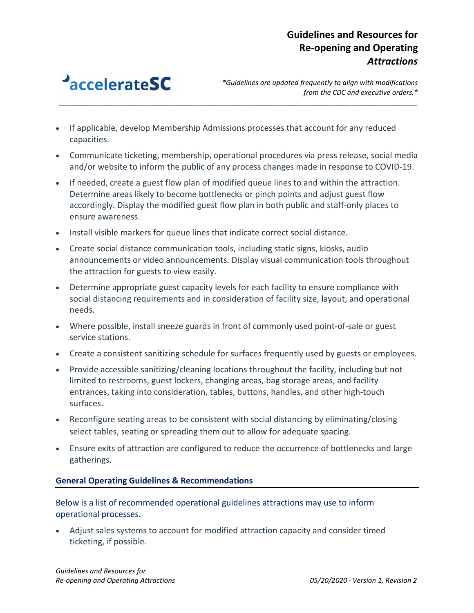

*\*Guidelines are updated frequently to align with modifications from the CDC and executive orders.\**

- If applicable, develop Membership Admissions processes that account for any reduced capacities.
- Communicate ticketing, membership, operational procedures via press release, social media and/or website to inform the public of any process changes made in response to COVID-19.

*\_\_\_\_\_\_\_\_\_\_\_\_\_\_\_\_\_\_\_\_\_\_\_\_\_\_\_\_\_\_\_\_\_\_\_\_\_\_\_\_\_\_\_\_\_\_\_\_\_\_\_\_\_\_\_\_\_\_\_\_\_\_\_\_\_\_\_\_\_\_\_\_\_\_\_\_\_\_\_\_\_\_\_\_\_\_\_\_\_\_\_\_\_*

- If needed, create a guest flow plan of modified queue lines to and within the attraction. Determine areas likely to become bottlenecks or pinch points and adjust guest flow accordingly. Display the modified guest flow plan in both public and staff-only places to ensure awareness.
- Install visible markers for queue lines that indicate correct social distance.
- Create social distance communication tools, including static signs, kiosks, audio announcements or video announcements. Display visual communication tools throughout the attraction for guests to view easily.
- Determine appropriate guest capacity levels for each facility to ensure compliance with social distancing requirements and in consideration of facility size, layout, and operational needs.
- Where possible, install sneeze guards in front of commonly used point-of-sale or guest service stations.
- Create a consistent sanitizing schedule for surfaces frequently used by guests or employees.
- Provide accessible sanitizing/cleaning locations throughout the facility, including but not limited to restrooms, guest lockers, changing areas, bag storage areas, and facility entrances, taking into consideration, tables, buttons, handles, and other high-touch surfaces.
- Reconfigure seating areas to be consistent with social distancing by eliminating/closing select tables, seating or spreading them out to allow for adequate spacing.
- Ensure exits of attraction are configured to reduce the occurrence of bottlenecks and large gatherings.

### **General Operating Guidelines & Recommendations**

### Below is a list of recommended operational guidelines attractions may use to inform operational processes.

• Adjust sales systems to account for modified attraction capacity and consider timed ticketing, if possible.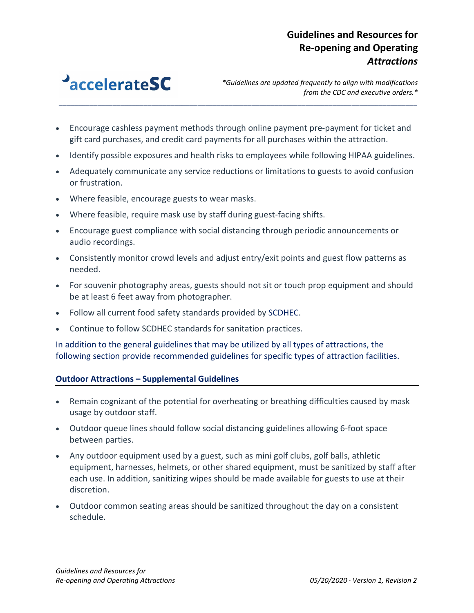

*\*Guidelines are updated frequently to align with modifications from the CDC and executive orders.\**

• Encourage cashless payment methods through online payment pre-payment for ticket and gift card purchases, and credit card payments for all purchases within the attraction.

*\_\_\_\_\_\_\_\_\_\_\_\_\_\_\_\_\_\_\_\_\_\_\_\_\_\_\_\_\_\_\_\_\_\_\_\_\_\_\_\_\_\_\_\_\_\_\_\_\_\_\_\_\_\_\_\_\_\_\_\_\_\_\_\_\_\_\_\_\_\_\_\_\_\_\_\_\_\_\_\_\_\_\_\_\_\_\_\_\_\_\_\_\_*

- Identify possible exposures and health risks to employees while following HIPAA guidelines.
- Adequately communicate any service reductions or limitations to guests to avoid confusion or frustration.
- Where feasible, encourage guests to wear masks.
- Where feasible, require mask use by staff during guest-facing shifts.
- Encourage guest compliance with social distancing through periodic announcements or audio recordings.
- Consistently monitor crowd levels and adjust entry/exit points and guest flow patterns as needed.
- For souvenir photography areas, guests should not sit or touch prop equipment and should be at least 6 feet away from photographer.
- Follow all current food safety standards provided by **SCDHEC**.
- Continue to follow SCDHEC standards for sanitation practices.

In addition to the general guidelines that may be utilized by all types of attractions, the following section provide recommended guidelines for specific types of attraction facilities.

#### **Outdoor Attractions – Supplemental Guidelines**

- Remain cognizant of the potential for overheating or breathing difficulties caused by mask usage by outdoor staff.
- Outdoor queue lines should follow social distancing guidelines allowing 6-foot space between parties.
- Any outdoor equipment used by a guest, such as mini golf clubs, golf balls, athletic equipment, harnesses, helmets, or other shared equipment, must be sanitized by staff after each use. In addition, sanitizing wipes should be made available for guests to use at their discretion.
- Outdoor common seating areas should be sanitized throughout the day on a consistent schedule.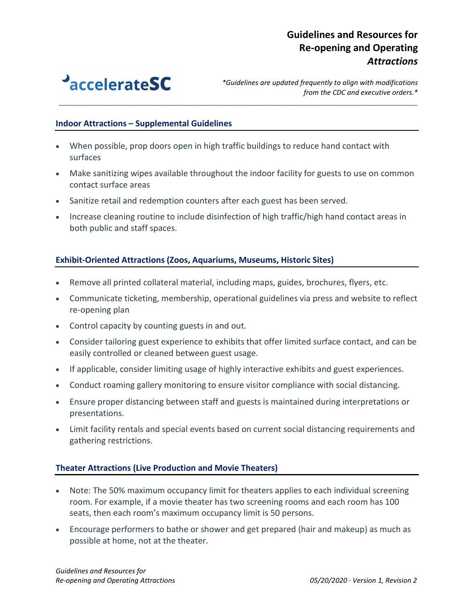

*\*Guidelines are updated frequently to align with modifications from the CDC and executive orders.\**

#### **Indoor Attractions – Supplemental Guidelines**

- When possible, prop doors open in high traffic buildings to reduce hand contact with surfaces
- Make sanitizing wipes available throughout the indoor facility for guests to use on common contact surface areas

*\_\_\_\_\_\_\_\_\_\_\_\_\_\_\_\_\_\_\_\_\_\_\_\_\_\_\_\_\_\_\_\_\_\_\_\_\_\_\_\_\_\_\_\_\_\_\_\_\_\_\_\_\_\_\_\_\_\_\_\_\_\_\_\_\_\_\_\_\_\_\_\_\_\_\_\_\_\_\_\_\_\_\_\_\_\_\_\_\_\_\_\_\_*

- Sanitize retail and redemption counters after each guest has been served.
- Increase cleaning routine to include disinfection of high traffic/high hand contact areas in both public and staff spaces.

### **Exhibit-Oriented Attractions (Zoos, Aquariums, Museums, Historic Sites)**

- Remove all printed collateral material, including maps, guides, brochures, flyers, etc.
- Communicate ticketing, membership, operational guidelines via press and website to reflect re-opening plan
- Control capacity by counting guests in and out.
- Consider tailoring guest experience to exhibits that offer limited surface contact, and can be easily controlled or cleaned between guest usage.
- If applicable, consider limiting usage of highly interactive exhibits and guest experiences.
- Conduct roaming gallery monitoring to ensure visitor compliance with social distancing.
- Ensure proper distancing between staff and guests is maintained during interpretations or presentations.
- Limit facility rentals and special events based on current social distancing requirements and gathering restrictions.

#### **Theater Attractions (Live Production and Movie Theaters)**

- Note: The 50% maximum occupancy limit for theaters applies to each individual screening room. For example, if a movie theater has two screening rooms and each room has 100 seats, then each room's maximum occupancy limit is 50 persons.
- Encourage performers to bathe or shower and get prepared (hair and makeup) as much as possible at home, not at the theater.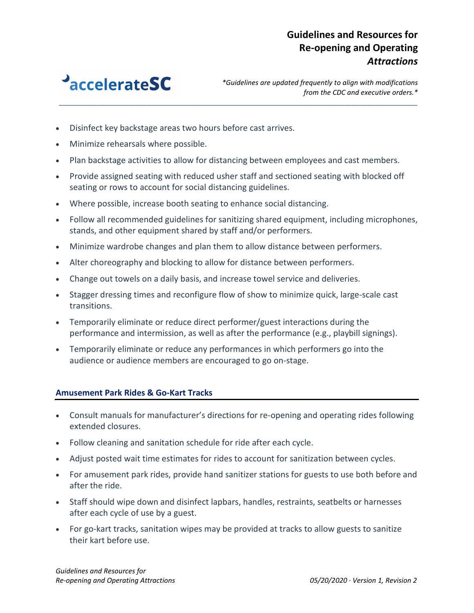

*\*Guidelines are updated frequently to align with modifications from the CDC and executive orders.\**

- Disinfect key backstage areas two hours before cast arrives.
- Minimize rehearsals where possible.
- Plan backstage activities to allow for distancing between employees and cast members.

*\_\_\_\_\_\_\_\_\_\_\_\_\_\_\_\_\_\_\_\_\_\_\_\_\_\_\_\_\_\_\_\_\_\_\_\_\_\_\_\_\_\_\_\_\_\_\_\_\_\_\_\_\_\_\_\_\_\_\_\_\_\_\_\_\_\_\_\_\_\_\_\_\_\_\_\_\_\_\_\_\_\_\_\_\_\_\_\_\_\_\_\_\_*

- Provide assigned seating with reduced usher staff and sectioned seating with blocked off seating or rows to account for social distancing guidelines.
- Where possible, increase booth seating to enhance social distancing.
- Follow all recommended guidelines for sanitizing shared equipment, including microphones, stands, and other equipment shared by staff and/or performers.
- Minimize wardrobe changes and plan them to allow distance between performers.
- Alter choreography and blocking to allow for distance between performers.
- Change out towels on a daily basis, and increase towel service and deliveries.
- Stagger dressing times and reconfigure flow of show to minimize quick, large-scale cast transitions.
- Temporarily eliminate or reduce direct performer/guest interactions during the performance and intermission, as well as after the performance (e.g., playbill signings).
- Temporarily eliminate or reduce any performances in which performers go into the audience or audience members are encouraged to go on-stage.

#### **Amusement Park Rides & Go-Kart Tracks**

- Consult manuals for manufacturer's directions for re-opening and operating rides following extended closures.
- Follow cleaning and sanitation schedule for ride after each cycle.
- Adjust posted wait time estimates for rides to account for sanitization between cycles.
- For amusement park rides, provide hand sanitizer stations for guests to use both before and after the ride.
- Staff should wipe down and disinfect lapbars, handles, restraints, seatbelts or harnesses after each cycle of use by a guest.
- For go-kart tracks, sanitation wipes may be provided at tracks to allow guests to sanitize their kart before use.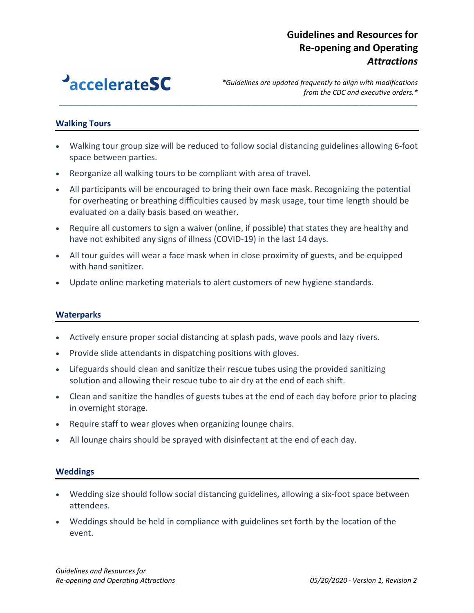

*\*Guidelines are updated frequently to align with modifications from the CDC and executive orders.\**

### **Walking Tours**

• Walking tour group size will be reduced to follow social distancing guidelines allowing 6-foot space between parties.

*\_\_\_\_\_\_\_\_\_\_\_\_\_\_\_\_\_\_\_\_\_\_\_\_\_\_\_\_\_\_\_\_\_\_\_\_\_\_\_\_\_\_\_\_\_\_\_\_\_\_\_\_\_\_\_\_\_\_\_\_\_\_\_\_\_\_\_\_\_\_\_\_\_\_\_\_\_\_\_\_\_\_\_\_\_\_\_\_\_\_\_\_\_*

- Reorganize all walking tours to be compliant with area of travel.
- All participants will be encouraged to bring their own face mask. Recognizing the potential for overheating or breathing difficulties caused by mask usage, tour time length should be evaluated on a daily basis based on weather.
- Require all customers to sign a waiver (online, if possible) that states they are healthy and have not exhibited any signs of illness (COVID-19) in the last 14 days.
- All tour guides will wear a face mask when in close proximity of guests, and be equipped with hand sanitizer.
- Update online marketing materials to alert customers of new hygiene standards.

#### **Waterparks**

- Actively ensure proper social distancing at splash pads, wave pools and lazy rivers.
- Provide slide attendants in dispatching positions with gloves.
- Lifeguards should clean and sanitize their rescue tubes using the provided sanitizing solution and allowing their rescue tube to air dry at the end of each shift.
- Clean and sanitize the handles of guests tubes at the end of each day before prior to placing in overnight storage.
- Require staff to wear gloves when organizing lounge chairs.
- All lounge chairs should be sprayed with disinfectant at the end of each day.

#### **Weddings**

- Wedding size should follow social distancing guidelines, allowing a six-foot space between attendees.
- Weddings should be held in compliance with guidelines set forth by the location of the event.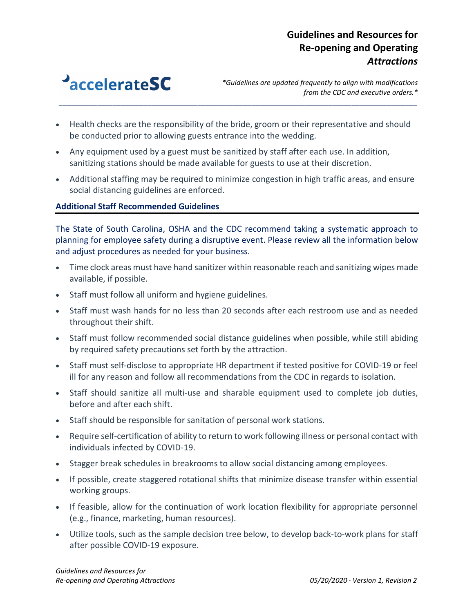

*\*Guidelines are updated frequently to align with modifications from the CDC and executive orders.\**

• Health checks are the responsibility of the bride, groom or their representative and should be conducted prior to allowing guests entrance into the wedding.

*\_\_\_\_\_\_\_\_\_\_\_\_\_\_\_\_\_\_\_\_\_\_\_\_\_\_\_\_\_\_\_\_\_\_\_\_\_\_\_\_\_\_\_\_\_\_\_\_\_\_\_\_\_\_\_\_\_\_\_\_\_\_\_\_\_\_\_\_\_\_\_\_\_\_\_\_\_\_\_\_\_\_\_\_\_\_\_\_\_\_\_\_\_*

- Any equipment used by a guest must be sanitized by staff after each use. In addition, sanitizing stations should be made available for guests to use at their discretion.
- Additional staffing may be required to minimize congestion in high traffic areas, and ensure social distancing guidelines are enforced.

### **Additional Staff Recommended Guidelines**

The State of South Carolina, OSHA and the CDC recommend taking a systematic approach to planning for employee safety during a disruptive event. Please review all the information below and adjust procedures as needed for your business.

- Time clock areas must have hand sanitizer within reasonable reach and sanitizing wipes made available, if possible.
- Staff must follow all uniform and hygiene guidelines.
- Staff must wash hands for no less than 20 seconds after each restroom use and as needed throughout their shift.
- Staff must follow recommended social distance guidelines when possible, while still abiding by required safety precautions set forth by the attraction.
- Staff must self-disclose to appropriate HR department if tested positive for COVID-19 or feel ill for any reason and follow all recommendations from the CDC in regards to isolation.
- Staff should sanitize all multi-use and sharable equipment used to complete job duties, before and after each shift.
- Staff should be responsible for sanitation of personal work stations.
- Require self-certification of ability to return to work following illness or personal contact with individuals infected by COVID-19.
- Stagger break schedules in breakrooms to allow social distancing among employees.
- If possible, create staggered rotational shifts that minimize disease transfer within essential working groups.
- If feasible, allow for the continuation of work location flexibility for appropriate personnel (e.g., finance, marketing, human resources).
- Utilize tools, such as the sample decision tree below, to develop back-to-work plans for staff after possible COVID-19 exposure.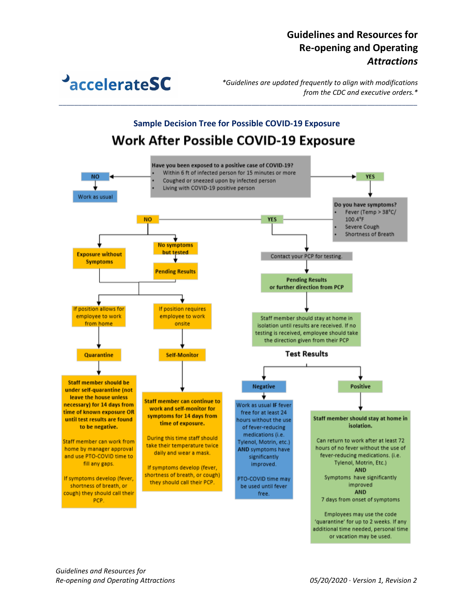**PaccelerateSC** 

*\*Guidelines are updated frequently to align with modifications from the CDC and executive orders.\**

# **Sample Decision Tree for Possible COVID-19 ExposureWork After Possible COVID-19 Exposure**

*\_\_\_\_\_\_\_\_\_\_\_\_\_\_\_\_\_\_\_\_\_\_\_\_\_\_\_\_\_\_\_\_\_\_\_\_\_\_\_\_\_\_\_\_\_\_\_\_\_\_\_\_\_\_\_\_\_\_\_\_\_\_\_\_\_\_\_\_\_\_\_\_\_\_\_\_\_\_\_\_\_\_\_\_\_\_\_\_\_\_\_\_\_*

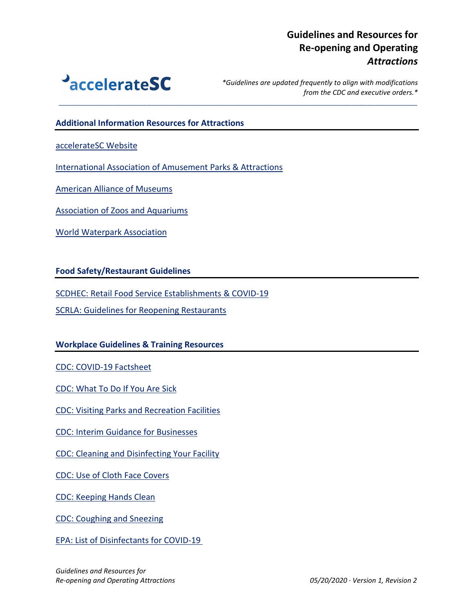

*\*Guidelines are updated frequently to align with modifications from the CDC and executive orders.\**

#### **Additional Information Resources for Attractions**

[accelerateSC Website](https://accelerate.sc.gov/)

[International Association of Amusement Parks & Attractions](https://www.iaapa.org/news/covid-19-resource-page)

*\_\_\_\_\_\_\_\_\_\_\_\_\_\_\_\_\_\_\_\_\_\_\_\_\_\_\_\_\_\_\_\_\_\_\_\_\_\_\_\_\_\_\_\_\_\_\_\_\_\_\_\_\_\_\_\_\_\_\_\_\_\_\_\_\_\_\_\_\_\_\_\_\_\_\_\_\_\_\_\_\_\_\_\_\_\_\_\_\_\_\_\_\_*

[American Alliance of Museums](https://www.aam-us.org/2020/04/29/how-to-get-ready-to-open-the-doors/)

[Association of Zoos and Aquariums](https://www.aza.org/covid-19-resources)

[World Waterpark Association](https://www.waterparks.org/web/Resources/COVID-19/web/Tagged_Content/Hot_Topics/Coronavirus.aspx?hkey=058be8d3-21ea-4ff9-9a9d-720d6a5b1d4d)

**Food Safety/Restaurant Guidelines**

[SCDHEC: Retail Food Service Establishments & COVID-19](https://www.scdhec.gov/infectious-diseases/viruses/coronavirus-disease-2019-covid-19/retail-food-service-establishments-covid-19)

[SCRLA: Guidelines for Reopening Restaurants](https://cdn.ymaws.com/www.scrla.org/resource/resmgr/coronavirus/SC_restaurant_reopening_guid.pdf)

#### **Workplace Guidelines & Training Resources**

[CDC: COVID-19 Factsheet](https://www.cdc.gov/coronavirus/2019-ncov/downloads/2019-ncov-factsheet.pdf)

[CDC: What To Do If You Are Sick](https://www.cdc.gov/coronavirus/2019-ncov/if-you-are-sick/steps-when-sick.html)

[CDC: Visiting Parks and Recreation Facilities](https://www.cdc.gov/coronavirus/2019-ncov/daily-life-coping/visitors.html)

[CDC: Interim Guidance for Businesses](https://www.cdc.gov/coronavirus/2019-ncov/community/guidance-business-response.html)

[CDC: Cleaning and Disinfecting Your Facility](https://www.cdc.gov/coronavirus/2019-ncov/community/disinfecting-building-facility.html)

[CDC: Use of Cloth Face Covers](https://www.cdc.gov/coronavirus/2019-ncov/prevent-getting-sick/diy-cloth-face-coverings.html)

[CDC: Keeping Hands Clean](https://www.cdc.gov/healthywater/hygiene/hand/handwashing.html)

[CDC: Coughing and Sneezing](https://www.cdc.gov/healthywater/hygiene/etiquette/coughing_sneezing.html)

[EPA: List of Disinfectants for COVID-19](https://www.epa.gov/pesticide-registration/list-n-disinfectants-use-against-sars-cov-2)